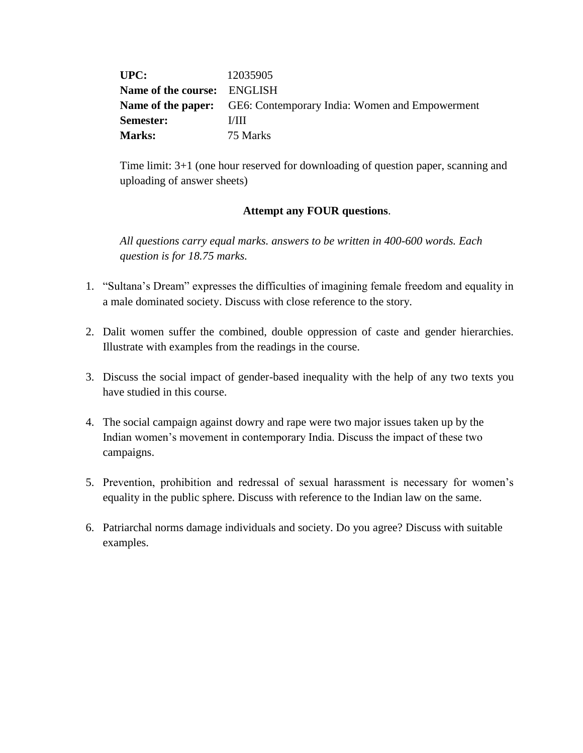| UPC:                               | 12035905                                                                 |
|------------------------------------|--------------------------------------------------------------------------|
| <b>Name of the course:</b> ENGLISH |                                                                          |
|                                    | <b>Name of the paper:</b> GE6: Contemporary India: Women and Empowerment |
| <b>Semester:</b>                   | L/HI                                                                     |
| <b>Marks:</b>                      | 75 Marks                                                                 |

Time limit: 3+1 (one hour reserved for downloading of question paper, scanning and uploading of answer sheets)

## **Attempt any FOUR questions**.

*All questions carry equal marks. answers to be written in 400-600 words. Each question is for 18.75 marks.*

- 1. "Sultana's Dream" expresses the difficulties of imagining female freedom and equality in a male dominated society. Discuss with close reference to the story.
- 2. Dalit women suffer the combined, double oppression of caste and gender hierarchies. Illustrate with examples from the readings in the course.
- 3. Discuss the social impact of gender-based inequality with the help of any two texts you have studied in this course.
- 4. The social campaign against dowry and rape were two major issues taken up by the Indian women's movement in contemporary India. Discuss the impact of these two campaigns.
- 5. Prevention, prohibition and redressal of sexual harassment is necessary for women's equality in the public sphere. Discuss with reference to the Indian law on the same.
- 6. Patriarchal norms damage individuals and society. Do you agree? Discuss with suitable examples.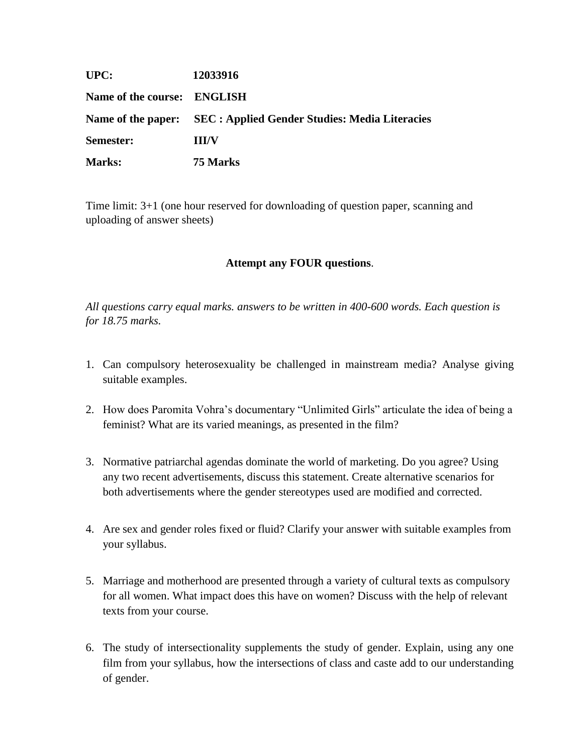| UPC:                        | 12033916                                                          |
|-----------------------------|-------------------------------------------------------------------|
| Name of the course: ENGLISH |                                                                   |
|                             | Name of the paper: SEC : Applied Gender Studies: Media Literacies |
| Semester:                   | <b>HI/V</b>                                                       |
| <b>Marks:</b>               | 75 Marks                                                          |

Time limit: 3+1 (one hour reserved for downloading of question paper, scanning and uploading of answer sheets)

## **Attempt any FOUR questions**.

*All questions carry equal marks. answers to be written in 400-600 words. Each question is for 18.75 marks.*

- 1. Can compulsory heterosexuality be challenged in mainstream media? Analyse giving suitable examples.
- 2. How does Paromita Vohra's documentary "Unlimited Girls" articulate the idea of being a feminist? What are its varied meanings, as presented in the film?
- 3. Normative patriarchal agendas dominate the world of marketing. Do you agree? Using any two recent advertisements, discuss this statement. Create alternative scenarios for both advertisements where the gender stereotypes used are modified and corrected.
- 4. Are sex and gender roles fixed or fluid? Clarify your answer with suitable examples from your syllabus.
- 5. Marriage and motherhood are presented through a variety of cultural texts as compulsory for all women. What impact does this have on women? Discuss with the help of relevant texts from your course.
- 6. The study of intersectionality supplements the study of gender. Explain, using any one film from your syllabus, how the intersections of class and caste add to our understanding of gender.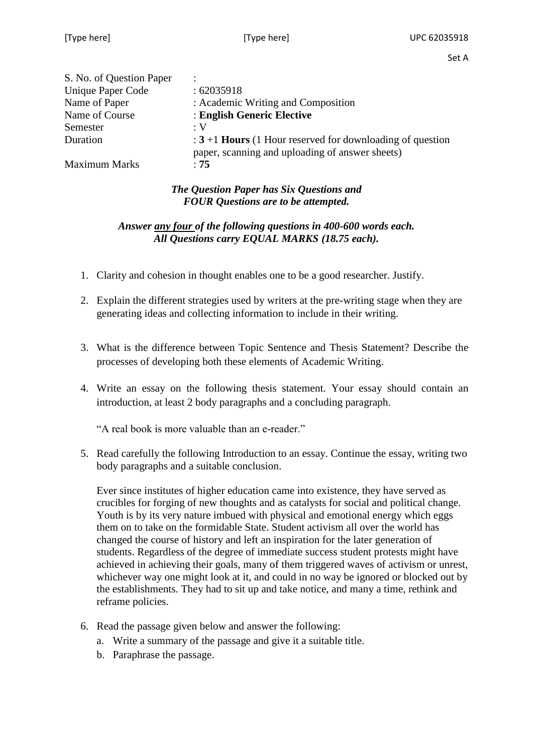| S. No. of Question Paper |                                                                                                                         |
|--------------------------|-------------------------------------------------------------------------------------------------------------------------|
| <b>Unique Paper Code</b> | :62035918                                                                                                               |
| Name of Paper            | : Academic Writing and Composition                                                                                      |
| Name of Course           | : English Generic Elective                                                                                              |
| Semester                 | :V                                                                                                                      |
| Duration                 | $\div$ 3+1 <b>Hours</b> (1 Hour reserved for downloading of question<br>paper, scanning and uploading of answer sheets) |
| <b>Maximum Marks</b>     | :75                                                                                                                     |

# *The Question Paper has Six Questions and FOUR Questions are to be attempted.*

# *Answer any four of the following questions in 400-600 words each. All Questions carry EQUAL MARKS (18.75 each).*

- 1. Clarity and cohesion in thought enables one to be a good researcher. Justify.
- 2. Explain the different strategies used by writers at the pre-writing stage when they are generating ideas and collecting information to include in their writing.
- 3. What is the difference between Topic Sentence and Thesis Statement? Describe the processes of developing both these elements of Academic Writing.
- 4. Write an essay on the following thesis statement. Your essay should contain an introduction, at least 2 body paragraphs and a concluding paragraph.

"A real book is more valuable than an e-reader."

5. Read carefully the following Introduction to an essay. Continue the essay, writing two body paragraphs and a suitable conclusion.

Ever since institutes of higher education came into existence, they have served as crucibles for forging of new thoughts and as catalysts for social and political change. Youth is by its very nature imbued with physical and emotional energy which eggs them on to take on the formidable State. Student activism all over the world has changed the course of history and left an inspiration for the later generation of students. Regardless of the degree of immediate success student protests might have achieved in achieving their goals, many of them triggered waves of activism or unrest, whichever way one might look at it, and could in no way be ignored or blocked out by the establishments. They had to sit up and take notice, and many a time, rethink and reframe policies.

- 6. Read the passage given below and answer the following:
	- a. Write a summary of the passage and give it a suitable title.
	- b. Paraphrase the passage.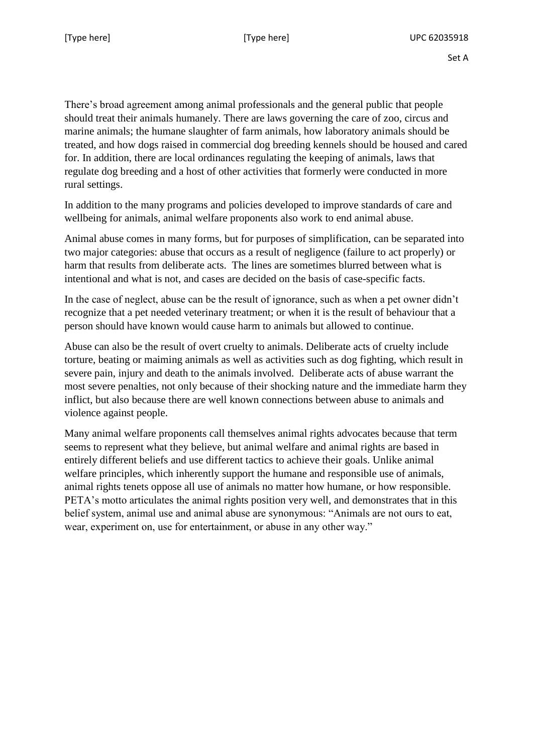There's broad agreement among animal professionals and the general public that people should treat their animals humanely. There are laws governing the care of zoo, circus and marine animals; the humane slaughter of farm animals, how laboratory animals should be treated, and how dogs raised in commercial dog breeding kennels should be housed and cared for. In addition, there are local ordinances regulating the keeping of animals, laws that regulate dog breeding and a host of other activities that formerly were conducted in more rural settings.

In addition to the many programs and policies developed to improve standards of care and wellbeing for animals, animal welfare proponents also work to end animal abuse.

Animal abuse comes in many forms, but for purposes of simplification, can be separated into two major categories: abuse that occurs as a result of negligence (failure to act properly) or harm that results from deliberate acts. The lines are sometimes blurred between what is intentional and what is not, and cases are decided on the basis of case-specific facts.

In the case of neglect, abuse can be the result of ignorance, such as when a pet owner didn't recognize that a pet needed veterinary treatment; or when it is the result of behaviour that a person should have known would cause harm to animals but allowed to continue.

Abuse can also be the result of overt cruelty to animals. Deliberate acts of cruelty include torture, beating or maiming animals as well as activities such as dog fighting, which result in severe pain, injury and death to the animals involved. Deliberate acts of abuse warrant the most severe penalties, not only because of their shocking nature and the immediate harm they inflict, but also because there are well known connections between abuse to animals and violence against people.

Many animal welfare proponents call themselves animal rights advocates because that term seems to represent what they believe, but animal welfare and animal rights are based in entirely different beliefs and use different tactics to achieve their goals. Unlike animal welfare principles, which inherently support the humane and responsible use of animals, animal rights tenets oppose all use of animals no matter how humane, or how responsible. PETA's motto articulates the animal rights position very well, and demonstrates that in this belief system, animal use and animal abuse are synonymous: "Animals are not ours to eat, wear, experiment on, use for entertainment, or abuse in any other way."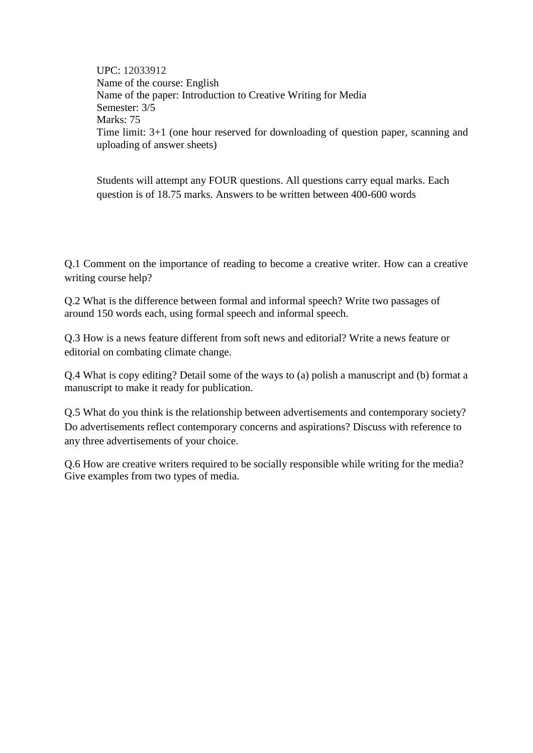UPC: 12033912 Name of the course: English Name of the paper: Introduction to Creative Writing for Media Semester: 3/5 Marks: 75 Time limit: 3+1 (one hour reserved for downloading of question paper, scanning and uploading of answer sheets)

Students will attempt any FOUR questions. All questions carry equal marks. Each question is of 18.75 marks. Answers to be written between 400-600 words

Q.1 Comment on the importance of reading to become a creative writer. How can a creative writing course help?

Q.2 What is the difference between formal and informal speech? Write two passages of around 150 words each, using formal speech and informal speech.

Q.3 How is a news feature different from soft news and editorial? Write a news feature or editorial on combating climate change.

Q.4 What is copy editing? Detail some of the ways to (a) polish a manuscript and (b) format a manuscript to make it ready for publication.

Q.5 What do you think is the relationship between advertisements and contemporary society? Do advertisements reflect contemporary concerns and aspirations? Discuss with reference to any three advertisements of your choice.

Q.6 How are creative writers required to be socially responsible while writing for the media? Give examples from two types of media.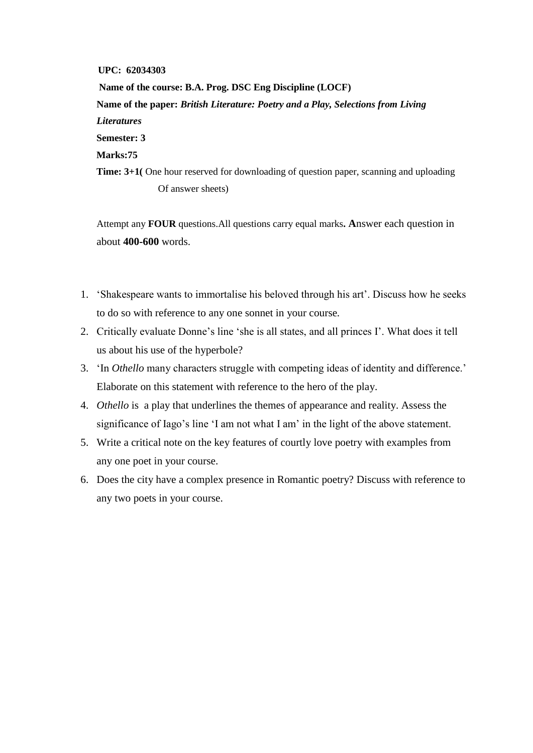#### **UPC: 62034303**

 **Name of the course: B.A. Prog. DSC Eng Discipline (LOCF) Name of the paper:** *British Literature: Poetry and a Play, Selections from Living Literatures*  **Semester: 3 Marks:75 Time: 3+1(** One hour reserved for downloading of question paper, scanning and uploading Of answer sheets)

Attempt any **FOUR** questions.All questions carry equal marks**. A**nswer each question in about **400-600** words.

- 1. 'Shakespeare wants to immortalise his beloved through his art'. Discuss how he seeks to do so with reference to any one sonnet in your course*.*
- 2. Critically evaluate Donne's line 'she is all states, and all princes I'. What does it tell us about his use of the hyperbole?
- 3. 'In *Othello* many characters struggle with competing ideas of identity and difference.' Elaborate on this statement with reference to the hero of the play.
- 4. *Othello* is a play that underlines the themes of appearance and reality. Assess the significance of Iago's line 'I am not what I am' in the light of the above statement.
- 5. Write a critical note on the key features of courtly love poetry with examples from any one poet in your course.
- 6. Does the city have a complex presence in Romantic poetry? Discuss with reference to any two poets in your course.